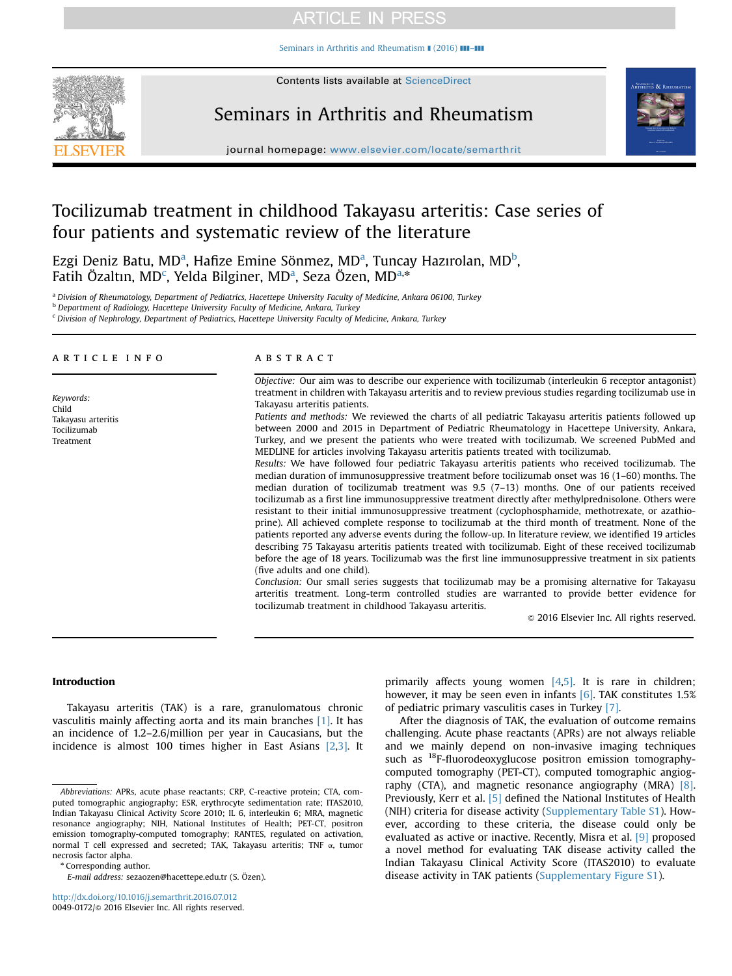[Seminars in Arthritis and Rheumatism](http://dx.doi.org/10.1016/j.semarthrit.2016.07.012)  $(2016)$  III-III



## Seminars in Arthritis and Rheumatism



journal homepage: <www.elsevier.com/locate/semarthrit>

# Tocilizumab treatment in childhood Takayasu arteritis: Case series of four patients and systematic review of the literature

Ezgi Deniz Batu, MD<sup>a</sup>, Hafize Emine Sönmez, MD<sup>a</sup>, Tuncay Hazırolan, MD<sup>b</sup>, Fatih Özaltın, MD<sup>c</sup>, Yelda Bilginer, MD<sup>a</sup>, Seza Özen, MD<sup>a,\*</sup>

<sup>a</sup> Division of Rheumatology, Department of Pediatrics, Hacettepe University Faculty of Medicine, Ankara 06100, Turkey

**b** Department of Radiology, Hacettepe University Faculty of Medicine, Ankara, Turkey

<sup>c</sup> Division of Nephrology, Department of Pediatrics, Hacettepe University Faculty of Medicine, Ankara, Turkey

#### article info

Keywords: Child Takayasu arteritis Tocilizumab Treatment

#### ABSTRACT

Objective: Our aim was to describe our experience with tocilizumab (interleukin 6 receptor antagonist) treatment in children with Takayasu arteritis and to review previous studies regarding tocilizumab use in Takayasu arteritis patients.

Patients and methods: We reviewed the charts of all pediatric Takayasu arteritis patients followed up between 2000 and 2015 in Department of Pediatric Rheumatology in Hacettepe University, Ankara, Turkey, and we present the patients who were treated with tocilizumab. We screened PubMed and MEDLINE for articles involving Takayasu arteritis patients treated with tocilizumab.

Results: We have followed four pediatric Takayasu arteritis patients who received tocilizumab. The median duration of immunosuppressive treatment before tocilizumab onset was 16 (1–60) months. The median duration of tocilizumab treatment was 9.5 (7–13) months. One of our patients received tocilizumab as a first line immunosuppressive treatment directly after methylprednisolone. Others were resistant to their initial immunosuppressive treatment (cyclophosphamide, methotrexate, or azathioprine). All achieved complete response to tocilizumab at the third month of treatment. None of the patients reported any adverse events during the follow-up. In literature review, we identified 19 articles describing 75 Takayasu arteritis patients treated with tocilizumab. Eight of these received tocilizumab before the age of 18 years. Tocilizumab was the first line immunosuppressive treatment in six patients (five adults and one child).

Conclusion: Our small series suggests that tocilizumab may be a promising alternative for Takayasu arteritis treatment. Long-term controlled studies are warranted to provide better evidence for tocilizumab treatment in childhood Takayasu arteritis.

 $©$  2016 Elsevier Inc. All rights reserved.

#### Introduction

Takayasu arteritis (TAK) is a rare, granulomatous chronic vasculitis mainly affecting aorta and its main branches [\[1\].](#page-5-0) It has an incidence of 1.2–2.6/million per year in Caucasians, but the incidence is almost 100 times higher in East Asians [\[2,3\].](#page-5-0) It

\* Corresponding author.

E-mail address: [sezaozen@hacettepe.edu.tr \(S. Özen\)](mailto:sezaozen@hacettepe.edu.tr).

primarily affects young women [\[4,5\].](#page-5-0) It is rare in children; however, it may be seen even in infants  $[6]$ . TAK constitutes 1.5% of pediatric primary vasculitis cases in Turkey [\[7\]](#page-5-0).

After the diagnosis of TAK, the evaluation of outcome remains challenging. Acute phase reactants (APRs) are not always reliable and we mainly depend on non-invasive imaging techniques such as <sup>18</sup>F-fluorodeoxyglucose positron emission tomographycomputed tomography (PET-CT), computed tomographic angiography (CTA), and magnetic resonance angiography (MRA) [\[8\].](#page-5-0) Previously, Kerr et al. [\[5\]](#page-5-0) defined the National Institutes of Health (NIH) criteria for disease activity [\(Supplementary Table S1\)](#page-5-0). However, according to these criteria, the disease could only be evaluated as active or inactive. Recently, Misra et al. [\[9\]](#page-5-0) proposed a novel method for evaluating TAK disease activity called the Indian Takayasu Clinical Activity Score (ITAS2010) to evaluate disease activity in TAK patients ([Supplementary Figure S1](#page-5-0)).

Abbreviations: APRs, acute phase reactants; CRP, C-reactive protein; CTA, computed tomographic angiography; ESR, erythrocyte sedimentation rate; ITAS2010, Indian Takayasu Clinical Activity Score 2010; IL 6, interleukin 6; MRA, magnetic resonance angiography; NIH, National Institutes of Health; PET-CT, positron emission tomography-computed tomography; RANTES, regulated on activation, normal T cell expressed and secreted; TAK, Takayasu arteritis; TNF α, tumor necrosis factor alpha.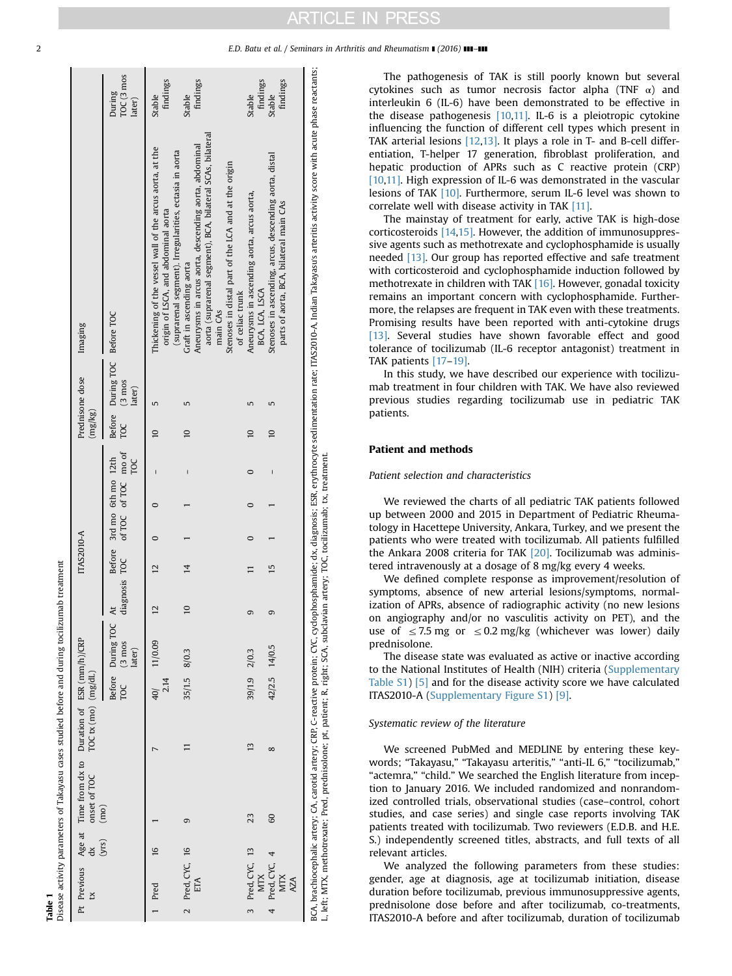<span id="page-1-0"></span>

| Pt Previous Age at Time from dx to Duration of ESR (mm/h)/CRP<br>onset of TOC | TOC $tx \text{(mo)} \text{(mg/dL)}$ |                         |                             |                                      | <b>ITAS2010-A</b>       |                                  |                    | (mg/kg)              | Prednisone dose                                                                                                                                                                                                                                       | Imaging                                                                                                                                         |                                                                                      |
|-------------------------------------------------------------------------------|-------------------------------------|-------------------------|-----------------------------|--------------------------------------|-------------------------|----------------------------------|--------------------|----------------------|-------------------------------------------------------------------------------------------------------------------------------------------------------------------------------------------------------------------------------------------------------|-------------------------------------------------------------------------------------------------------------------------------------------------|--------------------------------------------------------------------------------------|
| (mo)                                                                          |                                     |                         | Before During TOC<br>later) | ä                                    | <b>Before</b>           |                                  | 3rd mo 6th mo 12th | <b>Before</b><br>TOC | During TOC<br>$(3 \text{ m} \text{os})$<br>later)                                                                                                                                                                                                     | Before TOC                                                                                                                                      | TOC <sub>(3 mos</sub><br>During<br>later)                                            |
|                                                                               |                                     | 2.14<br>$\overline{40}$ | 11/0.09                     | $\overline{2}$                       | $\overline{\mathbf{C}}$ |                                  |                    | ≘                    | 5                                                                                                                                                                                                                                                     | Thickening of the vessel wall of the arcus aorta, at the<br>origin of LSCA, and abdominal aorta                                                 | findings<br>Stable                                                                   |
|                                                                               |                                     | 35/1.5                  | 8/0.3                       | $\overline{10}$                      |                         |                                  |                    | $\overline{a}$       | 5                                                                                                                                                                                                                                                     | aorta (suprarenal segment), BCA, bilateral SCAs, bilateral<br>Aneurysms in arcus aorta, descending aorta, abdominal<br>Graft in ascending aorta | findings<br>Stable                                                                   |
|                                                                               | 13                                  | 39/1.9                  |                             |                                      |                         |                                  | $\Box$             | $\overline{10}$      | 5                                                                                                                                                                                                                                                     | Stenoses in distal part of the LCA and at the origin<br>Aneurysms in ascending aorta, arcus aorta,<br>of celiac trunk                           | findings<br>Stable                                                                   |
|                                                                               | $\infty$                            |                         |                             |                                      | 15                      |                                  | $\mathbf{I}$       | $\overline{a}$       | 5                                                                                                                                                                                                                                                     | Stenoses in ascending, arcus, descending aorta, distal<br>parts of aorta, BCA, bilateral main CAs                                               | findings<br>Stable                                                                   |
|                                                                               | 60<br>23<br>9                       |                         |                             | TOC (3 mos<br>42/2.5 14/0.5<br>2/0.3 |                         | diagnosis TOC<br>$\overline{14}$ |                    | <b>DC</b><br>$\circ$ | BCA, brachiocephalic artery; CA, carotid artery; CRP, C-reactive protein; CYC, cyclophosphamide; dx, diagnosis; ESR, erythrocyte sedimentation rate; ITAS2010-A, Indian Takayasus arteritis activity score with acute phase re<br>of TOC of TOC mo of |                                                                                                                                                 | (suprarenal segment). Irregularities, ectasia in aorta<br>BCA, LCA, LSCA<br>main CAs |

The pathogenesis of TAK is still poorly known but several cytokines such as tumor necrosis factor alpha (TNF  $\alpha$ ) and interleukin 6 (IL-6) have been demonstrated to be effective in the disease pathogenesis [\[10,11\]](#page-5-0). IL-6 is a pleiotropic cytokine influencing the function of different cell types which present in TAK arterial lesions [\[12,13\].](#page-5-0) It plays a role in T- and B-cell differentiation, T-helper 17 generation, fibroblast proliferation, and hepatic production of APRs such as C reactive protein (CRP) [\[10,11\].](#page-5-0) High expression of IL-6 was demonstrated in the vascular lesions of TAK [\[10\].](#page-5-0) Furthermore, serum IL-6 level was shown to correlate well with disease activity in TAK [\[11\].](#page-5-0)

The mainstay of treatment for early, active TAK is high-dose corticosteroids [\[14,15\].](#page-5-0) However, the addition of immunosuppressive agents such as methotrexate and cyclophosphamide is usually needed [\[13\]](#page-5-0). Our group has reported effective and safe treatment with corticosteroid and cyclophosphamide induction followed by methotrexate in children with TAK [\[16\].](#page-5-0) However, gonadal toxicity remains an important concern with cyclophosphamide. Furthermore, the relapses are frequent in TAK even with these treatments. Promising results have been reported with anti-cytokine drugs [\[13\]](#page-5-0). Several studies have shown favorable effect and good tolerance of tocilizumab (IL-6 receptor antagonist) treatment in TAK patients [\[17](#page-5-0)–[19\]](#page-5-0).

In this study, we have described our experience with tocilizumab treatment in four children with TAK. We have also reviewed previous studies regarding tocilizumab use in pediatric TAK patients.

### Patient and methods

#### Patient selection and characteristics

We reviewed the charts of all pediatric TAK patients followed up between 2000 and 2015 in Department of Pediatric Rheumatology in Hacettepe University, Ankara, Turkey, and we present the patients who were treated with tocilizumab. All patients fulfilled the Ankara 2008 criteria for TAK [\[20\].](#page-5-0) Tocilizumab was administered intravenously at a dosage of 8 mg/kg every 4 weeks.

We defined complete response as improvement/resolution of symptoms, absence of new arterial lesions/symptoms, normalization of APRs, absence of radiographic activity (no new lesions on angiography and/or no vasculitis activity on PET), and the use of  $\leq$  7.5 mg or  $\leq$  0.2 mg/kg (whichever was lower) daily prednisolone.

The disease state was evaluated as active or inactive according to the National Institutes of Health (NIH) criteria ([Supplementary](#page-5-0) [Table S1](#page-5-0)) [\[5\]](#page-5-0) and for the disease activity score we have calculated ITAS2010-A [\(Supplementary Figure S1](#page-5-0)) [\[9\].](#page-5-0)

#### Systematic review of the literature

We screened PubMed and MEDLINE by entering these keywords; "Takayasu," "Takayasu arteritis," "anti-IL 6," "tocilizumab," "actemra," "child." We searched the English literature from inception to January 2016. We included randomized and nonrandomized controlled trials, observational studies (case–control, cohort studies, and case series) and single case reports involving TAK patients treated with tocilizumab. Two reviewers (E.D.B. and H.E. S.) independently screened titles, abstracts, and full texts of all relevant articles.

We analyzed the following parameters from these studies: gender, age at diagnosis, age at tocilizumab initiation, disease duration before tocilizumab, previous immunosuppressive agents, prednisolone dose before and after tocilizumab, co-treatments, ITAS2010-A before and after tocilizumab, duration of tocilizumab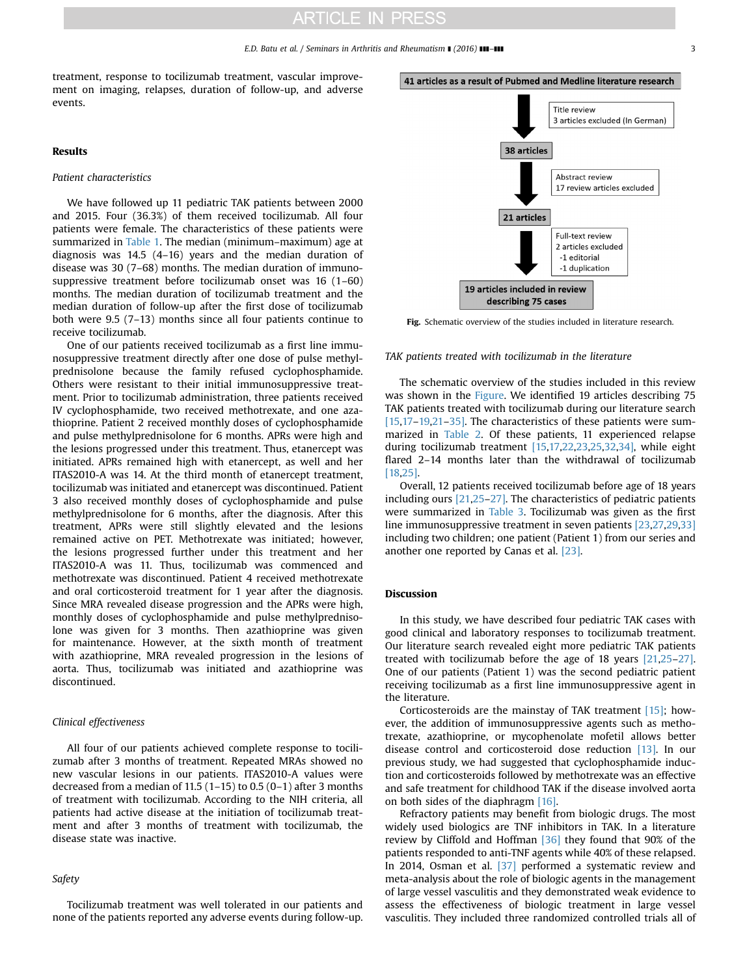treatment, response to tocilizumab treatment, vascular improvement on imaging, relapses, duration of follow-up, and adverse events.

#### 41 articles as a result of Pubmed and Medline literature research



## Patient characteristics

Results

We have followed up 11 pediatric TAK patients between 2000 and 2015. Four (36.3%) of them received tocilizumab. All four patients were female. The characteristics of these patients were summarized in [Table 1.](#page-1-0) The median (minimum–maximum) age at diagnosis was 14.5 (4–16) years and the median duration of disease was 30 (7–68) months. The median duration of immunosuppressive treatment before tocilizumab onset was 16 (1–60) months. The median duration of tocilizumab treatment and the median duration of follow-up after the first dose of tocilizumab both were 9.5 (7–13) months since all four patients continue to receive tocilizumab.

One of our patients received tocilizumab as a first line immunosuppressive treatment directly after one dose of pulse methylprednisolone because the family refused cyclophosphamide. Others were resistant to their initial immunosuppressive treatment. Prior to tocilizumab administration, three patients received IV cyclophosphamide, two received methotrexate, and one azathioprine. Patient 2 received monthly doses of cyclophosphamide and pulse methylprednisolone for 6 months. APRs were high and the lesions progressed under this treatment. Thus, etanercept was initiated. APRs remained high with etanercept, as well and her ITAS2010-A was 14. At the third month of etanercept treatment, tocilizumab was initiated and etanercept was discontinued. Patient 3 also received monthly doses of cyclophosphamide and pulse methylprednisolone for 6 months, after the diagnosis. After this treatment, APRs were still slightly elevated and the lesions remained active on PET. Methotrexate was initiated; however, the lesions progressed further under this treatment and her ITAS2010-A was 11. Thus, tocilizumab was commenced and methotrexate was discontinued. Patient 4 received methotrexate and oral corticosteroid treatment for 1 year after the diagnosis. Since MRA revealed disease progression and the APRs were high, monthly doses of cyclophosphamide and pulse methylprednisolone was given for 3 months. Then azathioprine was given for maintenance. However, at the sixth month of treatment with azathioprine, MRA revealed progression in the lesions of aorta. Thus, tocilizumab was initiated and azathioprine was discontinued.

#### Clinical effectiveness

All four of our patients achieved complete response to tocilizumab after 3 months of treatment. Repeated MRAs showed no new vascular lesions in our patients. ITAS2010-A values were decreased from a median of 11.5  $(1-15)$  to 0.5  $(0-1)$  after 3 months of treatment with tocilizumab. According to the NIH criteria, all patients had active disease at the initiation of tocilizumab treatment and after 3 months of treatment with tocilizumab, the disease state was inactive.

### Safety

Tocilizumab treatment was well tolerated in our patients and none of the patients reported any adverse events during follow-up.



#### TAK patients treated with tocilizumab in the literature

The schematic overview of the studies included in this review was shown in the Figure. We identified 19 articles describing 75 TAK patients treated with tocilizumab during our literature search [\[15,17](#page-5-0)–[19,21](#page-5-0)–[35\]](#page-5-0). The characteristics of these patients were summarized in [Table 2](#page-3-0). Of these patients, 11 experienced relapse during tocilizumab treatment [\[15,17,22,23](#page-5-0),[25,32,34\]](#page-5-0), while eight flared 2–14 months later than the withdrawal of tocilizumab [\[18,25\].](#page-5-0)

Overall, 12 patients received tocilizumab before age of 18 years including ours [\[21,25](#page-5-0)–[27\]](#page-5-0). The characteristics of pediatric patients were summarized in [Table 3.](#page-4-0) Tocilizumab was given as the first line immunosuppressive treatment in seven patients [\[23,27,29,33\]](#page-5-0) including two children; one patient (Patient 1) from our series and another one reported by Canas et al. [\[23\].](#page-5-0)

#### Discussion

In this study, we have described four pediatric TAK cases with good clinical and laboratory responses to tocilizumab treatment. Our literature search revealed eight more pediatric TAK patients treated with tocilizumab before the age of 18 years [\[21,25](#page-5-0)–[27\].](#page-5-0) One of our patients (Patient 1) was the second pediatric patient receiving tocilizumab as a first line immunosuppressive agent in the literature.

Corticosteroids are the mainstay of TAK treatment [\[15\]](#page-5-0); however, the addition of immunosuppressive agents such as methotrexate, azathioprine, or mycophenolate mofetil allows better disease control and corticosteroid dose reduction [\[13\]](#page-5-0). In our previous study, we had suggested that cyclophosphamide induction and corticosteroids followed by methotrexate was an effective and safe treatment for childhood TAK if the disease involved aorta on both sides of the diaphragm [\[16\]](#page-5-0).

Refractory patients may benefit from biologic drugs. The most widely used biologics are TNF inhibitors in TAK. In a literature review by Cliffold and Hoffman  $[36]$  they found that 90% of the patients responded to anti-TNF agents while 40% of these relapsed. In 2014, Osman et al. [\[37\]](#page-5-0) performed a systematic review and meta-analysis about the role of biologic agents in the management of large vessel vasculitis and they demonstrated weak evidence to assess the effectiveness of biologic treatment in large vessel vasculitis. They included three randomized controlled trials all of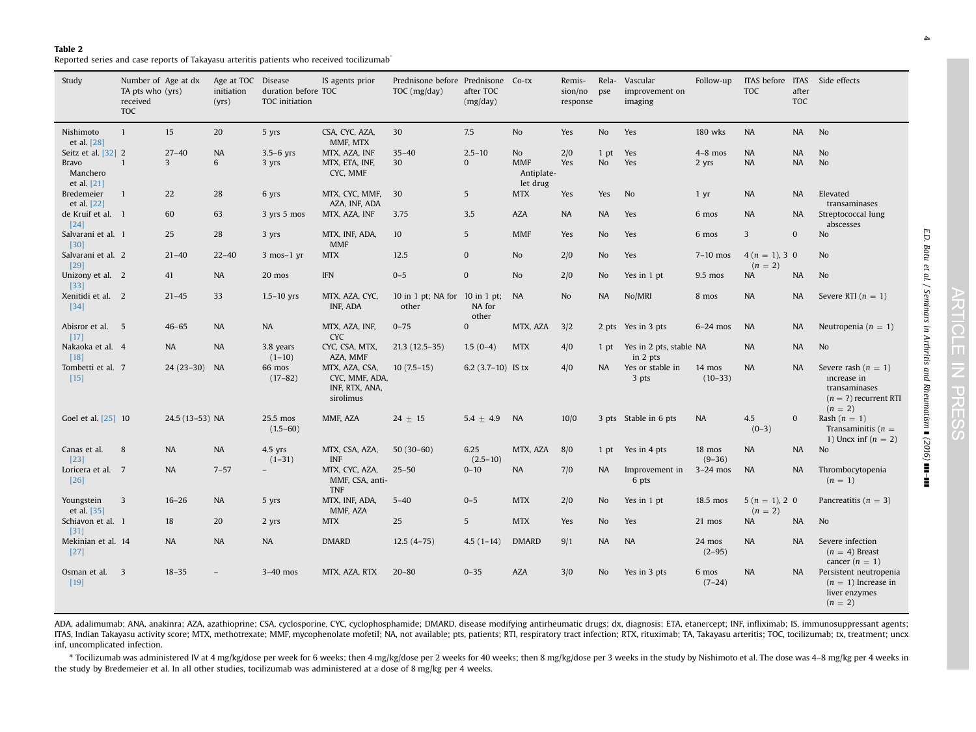<span id="page-3-0"></span>

| Table 2                                                                                  |  |
|------------------------------------------------------------------------------------------|--|
| Reported series and case reports of Takayasu arteritis patients who received tocilizumab |  |

| Study                                   | TA pts who (yrs)<br>received<br><b>TOC</b> | Number of Age at dx | Age at TOC Disease<br>initiation<br>(yrs) | duration before TOC<br>TOC initiation | IS agents prior                                                 | Prednisone before Prednisone Co-tx<br>TOC (mg/day) | after TOC<br>(mg/day) |                                      | Remis-<br>sion/no<br>response | Rela-<br>pse   | Vascular<br>improvement on<br>imaging      | Follow-up            | ITAS before ITAS Side effects<br><b>TOC</b> | after<br><b>TOC</b> |                                                                                               |
|-----------------------------------------|--------------------------------------------|---------------------|-------------------------------------------|---------------------------------------|-----------------------------------------------------------------|----------------------------------------------------|-----------------------|--------------------------------------|-------------------------------|----------------|--------------------------------------------|----------------------|---------------------------------------------|---------------------|-----------------------------------------------------------------------------------------------|
| Nishimoto<br>et al. [28]                | $\mathbf{1}$                               | 15                  | 20                                        | 5 yrs                                 | CSA, CYC, AZA,<br>MMF, MTX                                      | 30                                                 | 7.5                   | No                                   | Yes                           | No             | Yes                                        | 180 wks              | <b>NA</b>                                   | NA                  | No                                                                                            |
| Seitz et al. [32] 2                     |                                            | $27 - 40$           | <b>NA</b>                                 | $3.5-6$ yrs                           | MTX, AZA, INF                                                   | $35 - 40$                                          | $2.5 - 10$            | No                                   | 2/0                           | 1 pt           | Yes                                        | $4-8$ mos            | <b>NA</b>                                   | <b>NA</b>           | No                                                                                            |
| <b>Bravo</b><br>Manchero<br>et al. [21] | $\mathbf{1}$                               | 3                   | 6                                         | 3 yrs                                 | MTX, ETA, INF,<br>CYC, MMF                                      | 30                                                 | $\mathbf{0}$          | <b>MMF</b><br>Antiplate-<br>let drug | Yes                           | N <sub>o</sub> | Yes                                        | 2 yrs                | <b>NA</b>                                   | <b>NA</b>           | <b>No</b>                                                                                     |
| Bredemeier<br>et al. [22]               | $\mathbf{1}$                               | 22                  | 28                                        | 6 yrs                                 | MTX, CYC, MMF, 30<br>AZA, INF, ADA                              |                                                    | 5                     | <b>MTX</b>                           | Yes                           | <b>Yes</b>     | No                                         | $1 \, yr$            | <b>NA</b>                                   | <b>NA</b>           | Elevated<br>transaminases                                                                     |
| de Kruif et al. 1<br>$[24]$             |                                            | 60                  | 63                                        | 3 yrs 5 mos                           | MTX, AZA, INF                                                   | 3.75                                               | 3.5                   | AZA                                  | NA                            | NA             | Yes                                        | 6 mos                | <b>NA</b>                                   | <b>NA</b>           | Streptococcal lung<br>abscesses                                                               |
| Salvarani et al. 1<br>$[30]$            |                                            | 25                  | 28                                        | 3 yrs                                 | MTX, INF, ADA,<br>MMF                                           | 10                                                 | 5                     | <b>MMF</b>                           | Yes                           | N <sub>o</sub> | Yes                                        | 6 mos                | $\overline{3}$                              | $\mathbf{0}$        | N <sub>o</sub>                                                                                |
| Salvarani et al. 2<br>[29]              |                                            | $21 - 40$           | $22 - 40$                                 | $3$ mos-1 yr                          | <b>MTX</b>                                                      | 12.5                                               | $\bf{0}$              | No                                   | 2/0                           | No             | Yes                                        | $7-10$ mos           | $4(n = 1), 3 \ 0$<br>$(n = 2)$              |                     | N <sub>o</sub>                                                                                |
| Unizony et al. 2<br>$[33]$              |                                            | 41                  | <b>NA</b>                                 | 20 mos                                | <b>IFN</b>                                                      | $0 - 5$                                            | $\mathbf{0}$          | No                                   | 2/0                           | No             | Yes in 1 pt                                | 9.5 mos              | <b>NA</b>                                   | <b>NA</b>           | No                                                                                            |
| Xenitidi et al. 2<br>$[34]$             |                                            | $21 - 45$           | 33                                        | $1.5 - 10$ yrs                        | MTX, AZA, CYC,<br>INF, ADA                                      | 10 in 1 pt; NA for 10 in 1 pt;<br>other            | NA for<br>other       | <b>NA</b>                            | No                            | NA             | No/MRI                                     | 8 mos                | NA                                          | NA                  | Severe RTI $(n = 1)$                                                                          |
| Abisror et al. 5<br>$[17]$              |                                            | $46 - 65$           | <b>NA</b>                                 | NA                                    | MTX, AZA, INF,<br><b>CYC</b>                                    | $0 - 75$                                           | $\mathbf{0}$          | MTX, AZA                             | 3/2                           |                | 2 pts Yes in 3 pts                         | $6-24$ mos           | <b>NA</b>                                   | <b>NA</b>           | Neutropenia ( $n = 1$ )                                                                       |
| Nakaoka et al. 4<br>$[18]$              |                                            | <b>NA</b>           | <b>NA</b>                                 | 3.8 years<br>$(1-10)$                 | CYC, CSA, MTX,<br>AZA, MMF                                      | $21.3(12.5-35)$                                    | $1.5(0-4)$            | <b>MTX</b>                           | 4/0                           |                | 1 pt Yes in 2 pts, stable NA<br>$in 2$ pts |                      | <b>NA</b>                                   | <b>NA</b>           | No                                                                                            |
| Tombetti et al. 7<br>$[15]$             |                                            | 24 (23-30) NA       |                                           | 66 mos<br>$(17-82)$                   | MTX, AZA, CSA,<br>CYC, MMF, ADA,<br>INF, RTX, ANA,<br>sirolimus | $10(7.5-15)$                                       | 6.2 $(3.7-10)$ IS tx  |                                      | 4/0                           | NA             | Yes or stable in<br>3 pts                  | 14 mos<br>$(10-33)$  | <b>NA</b>                                   | NA                  | Severe rash $(n = 1)$<br>increase in<br>transaminases<br>$(n = ?)$ recurrent RTI<br>$(n = 2)$ |
| Goel et al. [25] 10                     |                                            | 24.5 (13-53) NA     |                                           | 25.5 mos<br>$(1.5 - 60)$              | MMF, AZA                                                        | $24 \pm 15$                                        | 5.4 $\pm$ 4.9         | <b>NA</b>                            | 10/0                          |                | 3 pts Stable in 6 pts                      | <b>NA</b>            | 4.5<br>$(0-3)$                              | $\mathbf{0}$        | Rash $(n = 1)$<br>Transaminitis ( $n =$<br>1) Uncx inf $(n = 2)$                              |
| Canas et al.<br>$[23]$                  | 8                                          | <b>NA</b>           | <b>NA</b>                                 | $4.5$ yrs<br>$(1-31)$                 | MTX, CSA, AZA,<br>INF                                           | $50(30-60)$                                        | 6.25<br>$(2.5-10)$    | MTX, AZA                             | 8/0                           | 1 pt           | Yes in 4 pts                               | 18 mos<br>$(9 - 36)$ | NA                                          | <b>NA</b>           | <b>No</b>                                                                                     |
| Loricera et al. 7<br>$[26]$             |                                            | <b>NA</b>           | $7 - 57$                                  | $\equiv$                              | MTX, CYC, AZA,<br>MMF, CSA, anti-<br>TNF                        | $25 - 50$                                          | $0 - 10$              | <b>NA</b>                            | 7/0                           | <b>NA</b>      | Improvement in<br>6 pts                    | $3-24$ mos           | <b>NA</b>                                   | NA                  | Thrombocytopenia<br>$(n = 1)$                                                                 |
| Youngstein<br>et al. [35]               | $\overline{\mathbf{3}}$                    | $16 - 26$           | NA                                        | 5 yrs                                 | MTX, INF, ADA,<br>MMF, AZA                                      | $5 - 40$                                           | $0 - 5$               | <b>MTX</b>                           | 2/0                           | No             | Yes in 1 pt                                | 18.5 mos             | $5(n = 1), 20$<br>$(n = 2)$                 |                     | Pancreatitis $(n = 3)$                                                                        |
| Schiavon et al. 1<br>$[31]$             |                                            | 18                  | 20                                        | 2 yrs                                 | <b>MTX</b>                                                      | 25                                                 | 5                     | <b>MTX</b>                           | Yes                           | N <sub>o</sub> | Yes                                        | $21$ mos             | <b>NA</b>                                   | NA                  | No                                                                                            |
| Mekinian et al. 14<br>$[27]$            |                                            | <b>NA</b>           | NA                                        | NA                                    | <b>DMARD</b>                                                    | $12.5(4-75)$                                       | $4.5(1-14)$           | <b>DMARD</b>                         | 9/1                           | NA             | <b>NA</b>                                  | 24 mos<br>$(2 - 95)$ | NA                                          | <b>NA</b>           | Severe infection<br>$(n = 4)$ Breast<br>cancer $(n = 1)$                                      |
| Osman et al. 3<br>$[19]$                |                                            | $18 - 35$           | $\overline{\phantom{a}}$                  | $3-40$ mos                            | MTX, AZA, RTX                                                   | $20 - 80$                                          | $0 - 35$              | <b>AZA</b>                           | 3/0                           | N <sub>o</sub> | Yes in 3 pts                               | 6 mos<br>$(7-24)$    | NA                                          | NA.                 | Persistent neutropenia<br>$(n = 1)$ Increase in<br>liver enzymes<br>$(n = 2)$                 |

ADA, adalimumab; ANA, anakinra; AZA, azathioprine; CSA, cyclosporine, CYC, cyclophosphamide; DMARD, disease modifying antirheumatic drugs; dx, diagnosis; ETA, etanercept; INF, infliximab; IS, immunosuppressant agents; ITAS, Indian Takayasu activity score; MTX, methotrexate; MMF, mycophenolate mofetil; NA, not available; pts, patients; RTI, respiratory tract infection; RTX, rituximab; TA, Takayasu arteritis; TOC, tocilizumab; tx, treatme inf, uncomplicated infection.

n Tocilizumab was administered IV at 4 mg/kg/dose per week for 6 weeks; then 4 mg/kg/dose per 2 weeks for 40 weeks; then 8 mg/kg/dose per 3 weeks in the study by Nishimoto et al. The dose was 4–8 mg/kg per 4 weeks in the study by Bredemeier et al. In all other studies, tocilizumab was administered at <sup>a</sup> dose of 8 mg/kg per 4 weeks.

E.D. Batu et al. / Seminars in Arthritis and Rheumatism

] (2016)

]]] –]]]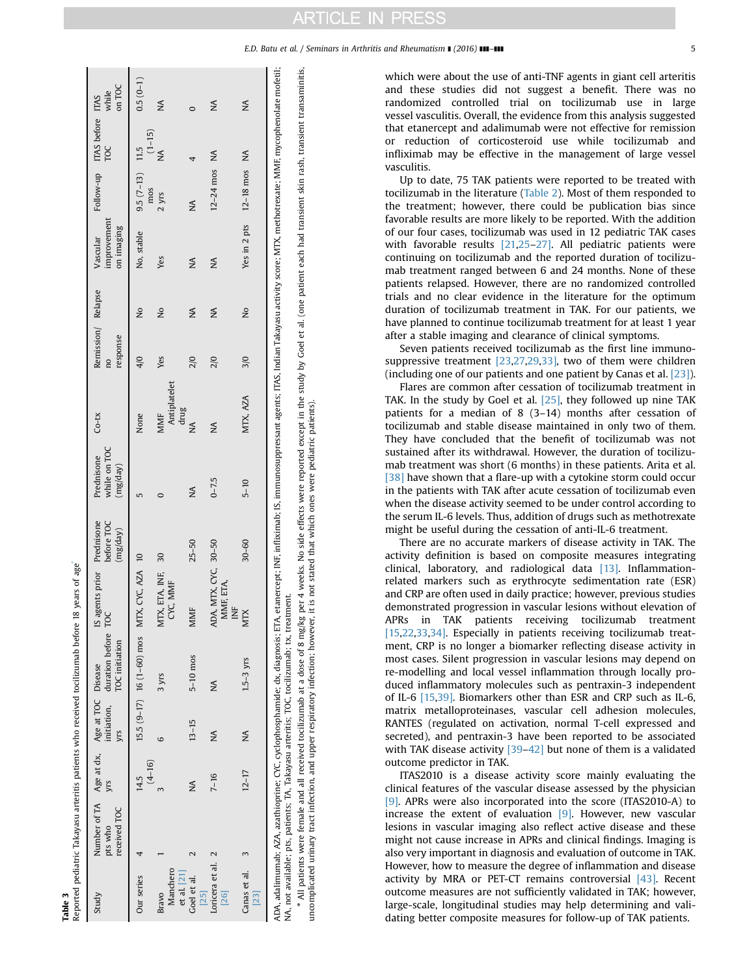**Table 3**<br>Reported pediatric Takayasu arteritis patients who received tocilizumab before 18 years of age

Table 3

\*

<span id="page-4-0"></span>

| Study                               | Number of TA Age at dx, Age at TOC Disease<br>pts who                                                                                                                                                                                                                                                                        | yrs                | initiation, | duration before TOC             | agents prior Prednisone<br>$\overline{S}$  | before TOC | while on TOC<br>Prednisone | $Co-tx$             | Remission/ Relapse<br>no |                                 | improvement<br>Vascular   |                          | Follow-up ITAS before ITAS<br><b>DC</b> | while         |
|-------------------------------------|------------------------------------------------------------------------------------------------------------------------------------------------------------------------------------------------------------------------------------------------------------------------------------------------------------------------------|--------------------|-------------|---------------------------------|--------------------------------------------|------------|----------------------------|---------------------|--------------------------|---------------------------------|---------------------------|--------------------------|-----------------------------------------|---------------|
|                                     | received TOC                                                                                                                                                                                                                                                                                                                 |                    | VIS         | <b>TOC</b> initiation           |                                            | (mg/day)   | (mg/day)                   |                     | response                 |                                 | on imaging                |                          |                                         | on TOC        |
| Our series                          |                                                                                                                                                                                                                                                                                                                              | $(4 - 16)$<br>14.5 |             |                                 | 15.5 (9-17) 16 (1-60) mos MTX, CYC, AZA 10 |            | m                          | None                |                          | $\frac{1}{2}$                   | No, stable                | $9.5 (7-13)$ 11.5<br>mos | $(1-15)$                                | $0.5(0-1)$    |
| Manchero<br>Bravo                   |                                                                                                                                                                                                                                                                                                                              |                    | 6           | 3 yrs                           | MTX, ETA, INF,<br>CYC, MIMF                | 30         |                            | Antiplatelet<br>MMF | Yes                      | $\frac{1}{2}$                   | Yes                       | 2 yrs                    | ≸                                       | $\frac{1}{2}$ |
| et al. $[21]$<br>Goel et al.        |                                                                                                                                                                                                                                                                                                                              | $\frac{1}{2}$      | $13 - 15$   | $5-10$ mos                      | <b>MMF</b>                                 | $25 - 50$  | $\frac{1}{2}$              | drug<br>≸           | 2/0                      | Z                               | ≸                         | ≸                        | 4                                       |               |
| Loricera et al. 2<br>[25]<br>$[26]$ |                                                                                                                                                                                                                                                                                                                              | $7 - 16$           | ≸           | $\frac{\mathbf{A}}{\mathbf{A}}$ | ADA, MTX, CYC, 30-50<br>MMF, ETA,          |            | $0 - 7.5$                  | Z                   | 2/0                      | $\frac{\mathbf{A}}{\mathbf{A}}$ | $\frac{1}{2}$             | $12-24$ mos NA           |                                         | Z             |
| Canas et al. 3<br>[23]              |                                                                                                                                                                                                                                                                                                                              | $12 - 17$          | ≸           | $1.5-3$ yrs                     | Ë<br><b>MTX</b>                            | $30 - 60$  | $5 - 10$                   | MTX, AZA            | 3/0                      | $\frac{1}{2}$                   | Yes in 2 pts 12-18 mos NA |                          |                                         | $\frac{1}{2}$ |
|                                     | ADA, adalimumab; AZA, azathioprine; CYC, cyclophosphamide; dx, diagnosis; ETA, etanercept; INF, infliximab; IS, immunosuppressant agents; ITAS, Indian Takayasu activity score; MTX, methotrexate; MMF, mycophenolate mofetil;<br>NA, not available; pts, patients; TA, Takayasu arteritis; TOC, tocilizumab; tx, treatment. |                    |             |                                 |                                            |            |                            |                     |                          |                                 |                           |                          |                                         |               |

uncomplicated urinary tract infection, and upper respiratory infection; however, it is not stated that which ones were pediatric patients).

tract infection, and

uncomplicated urinary

upper respiratory infection; however, it is not stated that which ones were pediatric patients).

\* All patients were female and all received tocilizumab at a dose of 8 mg/kg per 4 weeks. No side effects were reported except in the study by Goel et al. (one patient each had transient skin rash, transient transaminitis, All patients were female and all received tocilizumab at a dose of 8 mg/kg per 4 weeks. No side effects were reported except in the study by Goel et al. (one patient each had transient skin rash, transient transaminitis,

which were about the use of anti-TNF agents in giant cell arteritis and these studies did not suggest a benefit. There was no randomized controlled trial on tocilizumab use in large vessel vasculitis. Overall, the evidence from this analysis suggested that etanercept and adalimumab were not effective for remission or reduction of corticosteroid use while tocilizumab and infliximab may be effective in the management of large vessel vasculitis.

Up to date, 75 TAK patients were reported to be treated with tocilizumab in the literature [\(Table 2\)](#page-3-0). Most of them responded to the treatment; however, there could be publication bias since favorable results are more likely to be reported. With the addition of our four cases, tocilizumab was used in 12 pediatric TAK cases with favorable results [\[21,25](#page-5-0)–[27\]](#page-5-0). All pediatric patients were continuing on tocilizumab and the reported duration of tocilizumab treatment ranged between 6 and 24 months. None of these patients relapsed. However, there are no randomized controlled trials and no clear evidence in the literature for the optimum duration of tocilizumab treatment in TAK. For our patients, we have planned to continue tocilizumab treatment for at least 1 year after a stable imaging and clearance of clinical symptoms.

Seven patients received tocilizumab as the first line immunosuppressive treatment [\[23,27,29,33\],](#page-5-0) two of them were children (including one of our patients and one patient by Canas et al. [\[23\]\)](#page-5-0).

Flares are common after cessation of tocilizumab treatment in TAK. In the study by Goel et al. [\[25\],](#page-5-0) they followed up nine TAK patients for a median of 8 (3–14) months after cessation of tocilizumab and stable disease maintained in only two of them. They have concluded that the benefit of tocilizumab was not sustained after its withdrawal. However, the duration of tocilizumab treatment was short (6 months) in these patients. Arita et al. [\[38\]](#page-5-0) have shown that a flare-up with a cytokine storm could occur in the patients with TAK after acute cessation of tocilizumab even when the disease activity seemed to be under control according to the serum IL-6 levels. Thus, addition of drugs such as methotrexate might be useful during the cessation of anti-IL-6 treatment.

There are no accurate markers of disease activity in TAK. The activity definition is based on composite measures integrating clinical, laboratory, and radiological data [\[13\].](#page-5-0) Inflammationrelated markers such as erythrocyte sedimentation rate (ESR) and CRP are often used in daily practice; however, previous studies demonstrated progression in vascular lesions without elevation of APRs in TAK patients receiving tocilizumab treatment [\[15,22,33,34\].](#page-5-0) Especially in patients receiving tocilizumab treatment, CRP is no longer a biomarker reflecting disease activity in most cases. Silent progression in vascular lesions may depend on re-modelling and local vessel inflammation through locally produced inflammatory molecules such as pentraxin-3 independent of IL-6 [\[15](#page-5-0),[39\]](#page-5-0). Biomarkers other than ESR and CRP such as IL-6, matrix metalloproteinases, vascular cell adhesion molecules, RANTES (regulated on activation, normal T-cell expressed and secreted), and pentraxin-3 have been reported to be associated with TAK disease activity [\[39](#page-5-0)-[42\]](#page-5-0) but none of them is a validated outcome predictor in TAK.

ITAS2010 is a disease activity score mainly evaluating the clinical features of the vascular disease assessed by the physician [\[9\]](#page-5-0). APRs were also incorporated into the score (ITAS2010-A) to increase the extent of evaluation [\[9\].](#page-5-0) However, new vascular lesions in vascular imaging also reflect active disease and these might not cause increase in APRs and clinical findings. Imaging is also very important in diagnosis and evaluation of outcome in TAK. However, how to measure the degree of inflammation and disease activity by MRA or PET-CT remains controversial [\[43\]](#page-5-0). Recent outcome measures are not sufficiently validated in TAK; however, large-scale, longitudinal studies may help determining and validating better composite measures for follow-up of TAK patients.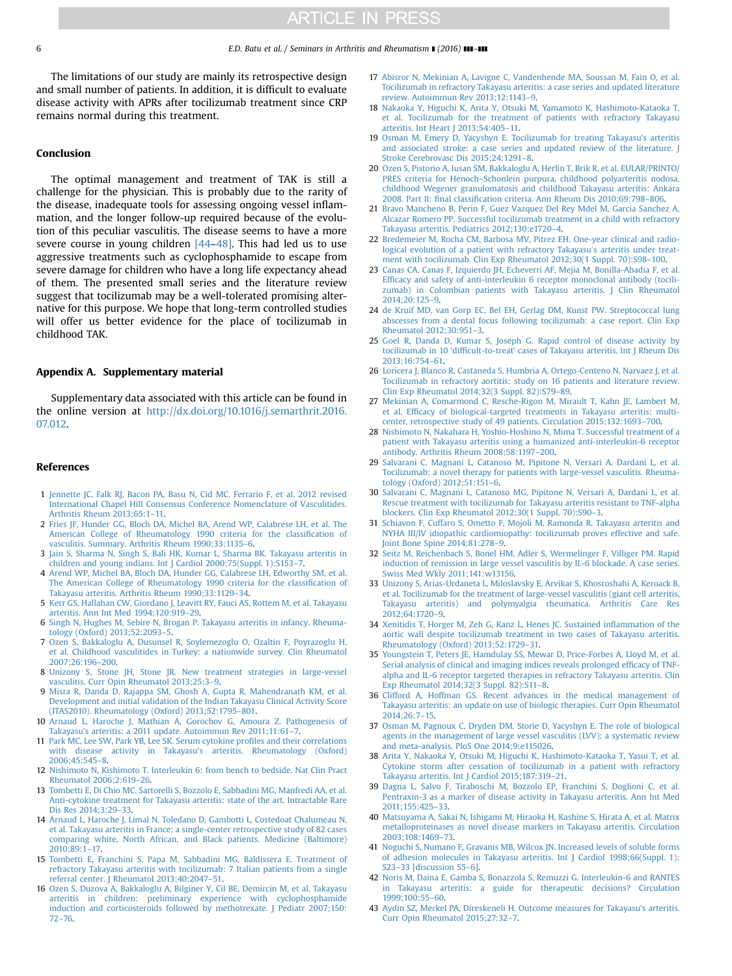<span id="page-5-0"></span>The limitations of our study are mainly its retrospective design and small number of patients. In addition, it is difficult to evaluate disease activity with APRs after tocilizumab treatment since CRP remains normal during this treatment.

#### Conclusion

The optimal management and treatment of TAK is still a challenge for the physician. This is probably due to the rarity of the disease, inadequate tools for assessing ongoing vessel inflammation, and the longer follow-up required because of the evolution of this peculiar vasculitis. The disease seems to have a more severe course in young children  $[44-48]$  $[44-48]$  $[44-48]$ . This had led us to use aggressive treatments such as cyclophosphamide to escape from severe damage for children who have a long life expectancy ahead of them. The presented small series and the literature review suggest that tocilizumab may be a well-tolerated promising alternative for this purpose. We hope that long-term controlled studies will offer us better evidence for the place of tocilizumab in childhood TAK.

#### Appendix A. Supplementary material

Supplementary data associated with this article can be found in the online version at [http://dx.doi.org/10.1016/j.semarthrit.2016.](http://dx.doi.org/10.1016/j.semarthrit.2016.07.012) [07.012.](http://dx.doi.org/10.1016/j.semarthrit.2016.07.012)

#### References

- 1 [Jennette JC, Falk RJ, Bacon PA, Basu N, Cid MC, Ferrario F, et al. 2012 revised](http://refhub.elsevier.com/S0049-0172(16)30142-1/sbref1) [International Chapel Hill Consensus Conference Nomenclature of Vasculitides.](http://refhub.elsevier.com/S0049-0172(16)30142-1/sbref1) [Arthritis Rheum 2013;65:1](http://refhub.elsevier.com/S0049-0172(16)30142-1/sbref1)–11.
- 2 [Fries JF, Hunder GG, Bloch DA, Michel BA, Arend WP, Calabrese LH, et al. The](http://refhub.elsevier.com/S0049-0172(16)30142-1/sbref2) [American College of Rheumatology 1990 criteria for the classi](http://refhub.elsevier.com/S0049-0172(16)30142-1/sbref2)fication of [vasculitis. Summary. Arthritis Rheum 1990;33:1135](http://refhub.elsevier.com/S0049-0172(16)30142-1/sbref2)–6.
- 3 [Jain S, Sharma N, Singh S, Bali HK, Kumar L, Sharma BK. Takayasu arteritis in](http://refhub.elsevier.com/S0049-0172(16)30142-1/sbref3) [children and young indians. Int J Cardiol 2000;75\(Suppl. 1\):S153](http://refhub.elsevier.com/S0049-0172(16)30142-1/sbref3)–7.
- 4 [Arend WP, Michel BA, Bloch DA, Hunder GG, Calabrese LH, Edworthy SM, et al.](http://refhub.elsevier.com/S0049-0172(16)30142-1/sbref4) [The American College of Rheumatology 1990 criteria for the classi](http://refhub.elsevier.com/S0049-0172(16)30142-1/sbref4)fication of [Takayasu arteritis. Arthritis Rheum 1990;33:1129](http://refhub.elsevier.com/S0049-0172(16)30142-1/sbref4)–34.
- 5 [Kerr GS, Hallahan CW, Giordano J, Leavitt RY, Fauci AS, Rottem M, et al. Takayasu](http://refhub.elsevier.com/S0049-0172(16)30142-1/sbref5) [arteritis. Ann Int Med 1994;120:919](http://refhub.elsevier.com/S0049-0172(16)30142-1/sbref5)–29.
- 6 [Singh N, Hughes M, Sebire N, Brogan P. Takayasu arteritis in infancy. Rheuma](http://refhub.elsevier.com/S0049-0172(16)30142-1/sbref6)[tology \(Oxford\) 2013;52:2093](http://refhub.elsevier.com/S0049-0172(16)30142-1/sbref6)–5.
- 7 [Ozen S, Bakkaloglu A, Dusunsel R, Soylemezoglu O, Ozaltin F, Poyrazoglu H,](http://refhub.elsevier.com/S0049-0172(16)30142-1/sbref7) [et al. Childhood vasculitides in Turkey: a nationwide survey. Clin Rheumatol](http://refhub.elsevier.com/S0049-0172(16)30142-1/sbref7) [2007;26:196](http://refhub.elsevier.com/S0049-0172(16)30142-1/sbref7)–200.
- 8 [Unizony S, Stone JH, Stone JR. New treatment strategies in large-vessel](http://refhub.elsevier.com/S0049-0172(16)30142-1/sbref8) [vasculitis. Curr Opin Rheumatol 2013;25:3](http://refhub.elsevier.com/S0049-0172(16)30142-1/sbref8)–9.
- 9 [Misra R, Danda D, Rajappa SM, Ghosh A, Gupta R, Mahendranath KM, et al.](http://refhub.elsevier.com/S0049-0172(16)30142-1/sbref9) [Development and initial validation of the Indian Takayasu Clinical Activity Score](http://refhub.elsevier.com/S0049-0172(16)30142-1/sbref9) [\(ITAS2010\). Rheumatology \(Oxford\) 2013;52:1795](http://refhub.elsevier.com/S0049-0172(16)30142-1/sbref9)–801.
- 10 [Arnaud L, Haroche J, Mathian A, Gorochov G, Amoura Z. Pathogenesis of](http://refhub.elsevier.com/S0049-0172(16)30142-1/sbref10) Takayasu'[s arteritis: a 2011 update. Autoimmun Rev 2011;11:61](http://refhub.elsevier.com/S0049-0172(16)30142-1/sbref10)–7.
- 11 [Park MC, Lee SW, Park YB, Lee SK. Serum cytokine pro](http://refhub.elsevier.com/S0049-0172(16)30142-1/sbref11)files and their correlations [with disease activity in Takayasu](http://refhub.elsevier.com/S0049-0172(16)30142-1/sbref11)'s arteritis. Rheumatology (Oxford) [2006;45:545](http://refhub.elsevier.com/S0049-0172(16)30142-1/sbref11)–8.
- 12 [Nishimoto N, Kishimoto T. Interleukin 6: from bench to bedside. Nat Clin Pract](http://refhub.elsevier.com/S0049-0172(16)30142-1/sbref12) [Rheumatol 2006;2:619](http://refhub.elsevier.com/S0049-0172(16)30142-1/sbref12)–26.
- 13 [Tombetti E, Di Chio MC, Sartorelli S, Bozzolo E, Sabbadini MG, Manfredi AA, et al.](http://refhub.elsevier.com/S0049-0172(16)30142-1/sbref13) [Anti-cytokine treatment for Takayasu arteritis: state of the art. Intractable Rare](http://refhub.elsevier.com/S0049-0172(16)30142-1/sbref13) [Dis Res 2014;3:29](http://refhub.elsevier.com/S0049-0172(16)30142-1/sbref13)–33.
- 14 [Arnaud L, Haroche J, Limal N, Toledano D, Gambotti L, Costedoat Chalumeau N,](http://refhub.elsevier.com/S0049-0172(16)30142-1/sbref14) [et al. Takayasu arteritis in France: a single-center retrospective study of 82 cases](http://refhub.elsevier.com/S0049-0172(16)30142-1/sbref14) [comparing white, North African, and Black patients. Medicine \(Baltimore\)](http://refhub.elsevier.com/S0049-0172(16)30142-1/sbref14) [2010;89:1](http://refhub.elsevier.com/S0049-0172(16)30142-1/sbref14)–17.
- 15 [Tombetti E, Franchini S, Papa M, Sabbadini MG, Baldissera E. Treatment of](http://refhub.elsevier.com/S0049-0172(16)30142-1/sbref15) [refractory Takayasu arteritis with tocilizumab: 7 Italian patients from a single](http://refhub.elsevier.com/S0049-0172(16)30142-1/sbref15) [referral center. J Rheumatol 2013;40:2047](http://refhub.elsevier.com/S0049-0172(16)30142-1/sbref15)–51.
- 16 [Ozen S, Duzova A, Bakkaloglu A, Bilginer Y, Cil BE, Demircin M, et al. Takayasu](http://refhub.elsevier.com/S0049-0172(16)30142-1/sbref16) [arteritis in children: preliminary experience with cyclophosphamide](http://refhub.elsevier.com/S0049-0172(16)30142-1/sbref16) [induction and corticosteroids followed by methotrexate. J Pediatr 2007;150:](http://refhub.elsevier.com/S0049-0172(16)30142-1/sbref16) 72–[76.](http://refhub.elsevier.com/S0049-0172(16)30142-1/sbref16)
- 17 [Abisror N, Mekinian A, Lavigne C, Vandenhende MA, Soussan M, Fain O, et al.](http://refhub.elsevier.com/S0049-0172(16)30142-1/sbref17) [Tocilizumab in refractory Takayasu arteritis: a case series and updated literature](http://refhub.elsevier.com/S0049-0172(16)30142-1/sbref17) [review. Autoimmun Rev 2013;12:1143](http://refhub.elsevier.com/S0049-0172(16)30142-1/sbref17)–9.
- 18 [Nakaoka Y, Higuchi K, Arita Y, Otsuki M, Yamamoto K, Hashimoto-Kataoka T,](http://refhub.elsevier.com/S0049-0172(16)30142-1/sbref18) [et al. Tocilizumab for the treatment of patients with refractory Takayasu](http://refhub.elsevier.com/S0049-0172(16)30142-1/sbref18) [arteritis. Int Heart J 2013;54:405](http://refhub.elsevier.com/S0049-0172(16)30142-1/sbref18)–11.
- 19 [Osman M, Emery D, Yacyshyn E. Tocilizumab for treating Takayasu](http://refhub.elsevier.com/S0049-0172(16)30142-1/sbref19)'s arteritis [and associated stroke: a case series and updated review of the literature. J](http://refhub.elsevier.com/S0049-0172(16)30142-1/sbref19) [Stroke Cerebrovasc Dis 2015;24:1291](http://refhub.elsevier.com/S0049-0172(16)30142-1/sbref19)–8.
- 20 [Ozen S, Pistorio A, Iusan SM, Bakkaloglu A, Herlin T, Brik R, et al. EULAR/PRINTO/](http://refhub.elsevier.com/S0049-0172(16)30142-1/sbref20) PRES criteria for Henoch–[Schonlein purpura, childhood polyarteritis nodosa,](http://refhub.elsevier.com/S0049-0172(16)30142-1/sbref20) [childhood Wegener granulomatosis and childhood Takayasu arteritis: Ankara](http://refhub.elsevier.com/S0049-0172(16)30142-1/sbref20) 2008. Part II: final classifi[cation criteria. Ann Rheum Dis 2010;69:798](http://refhub.elsevier.com/S0049-0172(16)30142-1/sbref20)–806.
- 21 [Bravo Mancheno B, Perin F, Guez Vazquez Del Rey Mdel M, Garcia Sanchez A,](http://refhub.elsevier.com/S0049-0172(16)30142-1/sbref21) [Alcazar Romero PP. Successful tocilizumab treatment in a child with refractory](http://refhub.elsevier.com/S0049-0172(16)30142-1/sbref21) [Takayasu arteritis. Pediatrics 2012;130:e1720](http://refhub.elsevier.com/S0049-0172(16)30142-1/sbref21)–4.
- 22 [Bredemeier M, Rocha CM, Barbosa MV, Pitrez EH. One-year clinical and radio](http://refhub.elsevier.com/S0049-0172(16)30142-1/sbref22)[logical evolution of a patient with refractory Takayasu](http://refhub.elsevier.com/S0049-0172(16)30142-1/sbref22)'[s arteritis under treat](http://refhub.elsevier.com/S0049-0172(16)30142-1/sbref22)[ment with tocilizumab. Clin Exp Rheumatol 2012;30\(1 Suppl. 70\):S98](http://refhub.elsevier.com/S0049-0172(16)30142-1/sbref22)–100.
- 23 [Canas CA, Canas F, Izquierdo JH, Echeverri AF, Mejia M, Bonilla-Abadia F, et al.](http://refhub.elsevier.com/S0049-0172(16)30142-1/sbref23) Effi[cacy and safety of anti-interleukin 6 receptor monoclonal antibody \(tocili](http://refhub.elsevier.com/S0049-0172(16)30142-1/sbref23)[zumab\) in Colombian patients with Takayasu arteritis. J Clin Rheumatol](http://refhub.elsevier.com/S0049-0172(16)30142-1/sbref23) [2014;20:125](http://refhub.elsevier.com/S0049-0172(16)30142-1/sbref23)–9.
- 24 [de Kruif MD, van Gorp EC, Bel EH, Gerlag DM, Kunst PW. Streptococcal lung](http://refhub.elsevier.com/S0049-0172(16)30142-1/sbref24) [abscesses from a dental focus following tocilizumab: a case report. Clin Exp](http://refhub.elsevier.com/S0049-0172(16)30142-1/sbref24) [Rheumatol 2012;30:951](http://refhub.elsevier.com/S0049-0172(16)30142-1/sbref24)–3.
- 25 [Goel R, Danda D, Kumar S, Joseph G. Rapid control of disease activity by](http://refhub.elsevier.com/S0049-0172(16)30142-1/sbref25) tocilizumab in 10 'difficult-to-treat' [cases of Takayasu arteritis. Int J Rheum Dis](http://refhub.elsevier.com/S0049-0172(16)30142-1/sbref25) [2013;16:754](http://refhub.elsevier.com/S0049-0172(16)30142-1/sbref25)–61.
- 26 [Loricera J, Blanco R, Castaneda S, Humbria A, Ortego-Centeno N, Narvaez J, et al.](http://refhub.elsevier.com/S0049-0172(16)30142-1/sbref26) [Tocilizumab in refractory aortitis: study on 16 patients and literature review.](http://refhub.elsevier.com/S0049-0172(16)30142-1/sbref26) [Clin Exp Rheumatol 2014;32\(3 Suppl. 82\):S79](http://refhub.elsevier.com/S0049-0172(16)30142-1/sbref26)–89.
- 27 [Mekinian A, Comarmond C, Resche-Rigon M, Mirault T, Kahn JE, Lambert M,](http://refhub.elsevier.com/S0049-0172(16)30142-1/sbref27) et al. Effi[cacy of biological-targeted treatments in Takayasu arteritis: multi](http://refhub.elsevier.com/S0049-0172(16)30142-1/sbref27)[center, retrospective study of 49 patients. Circulation 2015;132:1693](http://refhub.elsevier.com/S0049-0172(16)30142-1/sbref27)–700.
- 28 [Nishimoto N, Nakahara H, Yoshio-Hoshino N, Mima T. Successful treatment of a](http://refhub.elsevier.com/S0049-0172(16)30142-1/sbref28) [patient with Takayasu arteritis using a humanized anti-interleukin-6 receptor](http://refhub.elsevier.com/S0049-0172(16)30142-1/sbref28) [antibody. Arthritis Rheum 2008;58:1197](http://refhub.elsevier.com/S0049-0172(16)30142-1/sbref28)–200.
- 29 [Salvarani C, Magnani L, Catanoso M, Pipitone N, Versari A, Dardani L, et al.](http://refhub.elsevier.com/S0049-0172(16)30142-1/sbref29) [Tocilizumab: a novel therapy for patients with large-vessel vasculitis. Rheuma](http://refhub.elsevier.com/S0049-0172(16)30142-1/sbref29)[tology \(Oxford\) 2012;51:151](http://refhub.elsevier.com/S0049-0172(16)30142-1/sbref29)–6.
- 30 [Salvarani C, Magnani L, Catanoso MG, Pipitone N, Versari A, Dardani L, et al.](http://refhub.elsevier.com/S0049-0172(16)30142-1/sbref30) [Rescue treatment with tocilizumab for Takayasu arteritis resistant to TNF-alpha](http://refhub.elsevier.com/S0049-0172(16)30142-1/sbref30) [blockers. Clin Exp Rheumatol 2012;30\(1 Suppl. 70\):S90](http://refhub.elsevier.com/S0049-0172(16)30142-1/sbref30)–3.
- 31 [Schiavon F, Cuffaro S, Ometto F, Mojoli M, Ramonda R. Takayasu arteritis and](http://refhub.elsevier.com/S0049-0172(16)30142-1/sbref31) [NYHA III/IV idiopathic cardiomiopathy: tocilizumab proves effective and safe.](http://refhub.elsevier.com/S0049-0172(16)30142-1/sbref31) [Joint Bone Spine 2014;81:278](http://refhub.elsevier.com/S0049-0172(16)30142-1/sbref31)–9.
- 32 [Seitz M, Reichenbach S, Bonel HM, Adler S, Wermelinger F, Villiger PM. Rapid](http://refhub.elsevier.com/S0049-0172(16)30142-1/sbref32) [induction of remission in large vessel vasculitis by IL-6 blockade. A case series.](http://refhub.elsevier.com/S0049-0172(16)30142-1/sbref32) [Swiss Med Wkly 2011;141:w13156.](http://refhub.elsevier.com/S0049-0172(16)30142-1/sbref32)
- 33 [Unizony S, Arias-Urdaneta L, Miloslavsky E, Arvikar S, Khosroshahi A, Keroack B,](http://refhub.elsevier.com/S0049-0172(16)30142-1/sbref33) [et al. Tocilizumab for the treatment of large-vessel vasculitis \(giant cell arteritis,](http://refhub.elsevier.com/S0049-0172(16)30142-1/sbref33) [Takayasu arteritis\) and polymyalgia rheumatica. Arthritis Care Res](http://refhub.elsevier.com/S0049-0172(16)30142-1/sbref33) [2012;64:1720](http://refhub.elsevier.com/S0049-0172(16)30142-1/sbref33)–9.
- 34 [Xenitidis T, Horger M, Zeh G, Kanz L, Henes JC. Sustained in](http://refhub.elsevier.com/S0049-0172(16)30142-1/sbref34)flammation of the [aortic wall despite tocilizumab treatment in two cases of Takayasu arteritis.](http://refhub.elsevier.com/S0049-0172(16)30142-1/sbref34) [Rheumatology \(Oxford\) 2013;52:1729](http://refhub.elsevier.com/S0049-0172(16)30142-1/sbref34)–31.
- 35 [Youngstein T, Peters JE, Hamdulay SS, Mewar D, Price-Forbes A, Lloyd M, et al.](http://refhub.elsevier.com/S0049-0172(16)30142-1/sbref35) [Serial analysis of clinical and imaging indices reveals prolonged ef](http://refhub.elsevier.com/S0049-0172(16)30142-1/sbref35)ficacy of TNF[alpha and IL-6 receptor targeted therapies in refractory Takayasu arteritis. Clin](http://refhub.elsevier.com/S0049-0172(16)30142-1/sbref35) [Exp Rheumatol 2014;32\(3 Suppl. 82\):S11](http://refhub.elsevier.com/S0049-0172(16)30142-1/sbref35)–8.
- 36 [Clifford A, Hoffman GS. Recent advances in the medical management of](http://refhub.elsevier.com/S0049-0172(16)30142-1/sbref36) [Takayasu arteritis: an update on use of biologic therapies. Curr Opin Rheumatol](http://refhub.elsevier.com/S0049-0172(16)30142-1/sbref36) [2014;26:7](http://refhub.elsevier.com/S0049-0172(16)30142-1/sbref36)–15.
- 37 [Osman M, Pagnoux C, Dryden DM, Storie D, Yacyshyn E. The role of biological](http://refhub.elsevier.com/S0049-0172(16)30142-1/sbref37) [agents in the management of large vessel vasculitis \(LVV\): a systematic review](http://refhub.elsevier.com/S0049-0172(16)30142-1/sbref37) [and meta-analysis. PloS One 2014;9:e115026.](http://refhub.elsevier.com/S0049-0172(16)30142-1/sbref37)
- 38 [Arita Y, Nakaoka Y, Otsuki M, Higuchi K, Hashimoto-Kataoka T, Yasui T, et al.](http://refhub.elsevier.com/S0049-0172(16)30142-1/sbref38) [Cytokine storm after cessation of tocilizumab in a patient with refractory](http://refhub.elsevier.com/S0049-0172(16)30142-1/sbref38) [Takayasu arteritis. Int J Cardiol 2015;187:319](http://refhub.elsevier.com/S0049-0172(16)30142-1/sbref38)–21.
- 39 [Dagna L, Salvo F, Tiraboschi M, Bozzolo EP, Franchini S, Doglioni C, et al.](http://refhub.elsevier.com/S0049-0172(16)30142-1/sbref39) [Pentraxin-3 as a marker of disease activity in Takayasu arteritis. Ann Int Med](http://refhub.elsevier.com/S0049-0172(16)30142-1/sbref39) [2011;155:425](http://refhub.elsevier.com/S0049-0172(16)30142-1/sbref39)–33.
- 40 [Matsuyama A, Sakai N, Ishigami M, Hiraoka H, Kashine S, Hirata A, et al. Matrix](http://refhub.elsevier.com/S0049-0172(16)30142-1/sbref40) [metalloproteinases as novel disease markers in Takayasu arteritis. Circulation](http://refhub.elsevier.com/S0049-0172(16)30142-1/sbref40) [2003;108:1469](http://refhub.elsevier.com/S0049-0172(16)30142-1/sbref40)–73.
- 41 [Noguchi S, Numano F, Gravanis MB, Wilcox JN. Increased levels of soluble forms](http://refhub.elsevier.com/S0049-0172(16)30142-1/sbref41) [of adhesion molecules in Takayasu arteritis. Int J Cardiol 1998;66\(Suppl. 1\):](http://refhub.elsevier.com/S0049-0172(16)30142-1/sbref41) S23–[33 \[discussion S5](http://refhub.elsevier.com/S0049-0172(16)30142-1/sbref41)–6].
- 42 [Noris M, Daina E, Gamba S, Bonazzola S, Remuzzi G. Interleukin-6 and RANTES](http://refhub.elsevier.com/S0049-0172(16)30142-1/sbref42) [in Takayasu arteritis: a guide for therapeutic decisions? Circulation](http://refhub.elsevier.com/S0049-0172(16)30142-1/sbref42) [1999;100:55](http://refhub.elsevier.com/S0049-0172(16)30142-1/sbref42)–60.
- 43 [Aydin SZ, Merkel PA, Direskeneli H. Outcome measures for Takayasu](http://refhub.elsevier.com/S0049-0172(16)30142-1/sbref43)'s arteritis. [Curr Opin Rheumatol 2015;27:32](http://refhub.elsevier.com/S0049-0172(16)30142-1/sbref43)–7.